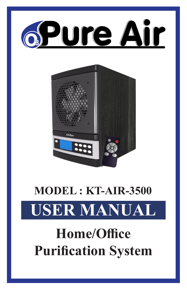



# **MODEL : KT-AIR-3500**

# **USER MANUAL**

## **Home/Office Purification System**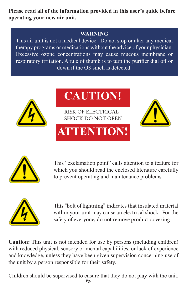**Please read all of the information provided in this user's guide before operating your new air unit.**

### **WARNING**

This air unit is not a medical device. Do not stop or alter any medical therapy programs or medications without the advice of your physician. Excessive ozone concentrations may cause mucous membrane or respiratory irritation. A rule of thumb is to turn the purifier dial off or down if the O3 smell is detected.



# **CAUTION!**

RISK OF ELECTRICAL SHOCK DO NOT OPEN

# **ATTENTION!**





This "exclamation point" calls attention to a feature for which you should read the enclosed literature carefully to prevent operating and maintenance problems.



This "bolt of lightning" indicates that insulated material within your unit may cause an electrical shock. For the safety of everyone, do not remove product covering.

**Caution:** This unit is not intended for use by persons (including children) with reduced physical, sensory or mental capabilities, or lack of experience and knowledge, unless they have been given supervision concerning use of the unit by a person responsible for their safety.

Children should be supervised to ensure that they do not play with the unit.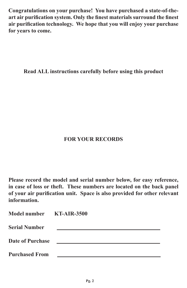**Congratulations on your purchase! You have purchased a state-of-theart air purification system. Only the finest materials surround the finest air purification technology. We hope that you will enjoy your purchase for years to come.**

**Read ALL instructions carefully before using this product**

### **FOR YOUR RECORDS**

**Please record the model and serial number below, for easy reference, in case of loss or theft. These numbers are located on the back panel of your air purification unit. Space is also provided for other relevant information.**

| Model number KT-AIR-3500 |  |
|--------------------------|--|
| <b>Serial Number</b>     |  |
| <b>Date of Purchase</b>  |  |
| <b>Purchased From</b>    |  |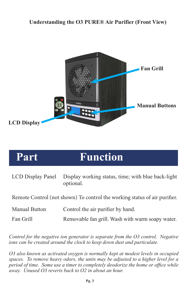#### **Understanding the O3 PURE® Air Purifier (Front View)**



### **Part Function**

| LCD Display Panel Display working status, time; with blue back-light |
|----------------------------------------------------------------------|
| optional.                                                            |

Remote Control (not shown) To control the working status of air purifier.

| <b>Manual Button</b> | Control the air purifier by hand. |
|----------------------|-----------------------------------|
|----------------------|-----------------------------------|

Fan Grill Removable fan grill. Wash with warm soapy water.

*Control for the negative ion generator is separate from the O3 control. Negative ions can be created around the clock to keep down dust and particulate.* 

*O3 also known as activated oxygen is normally kept at modest levels in occupied spaces. To remove heavy odors, the units may be adjusted to a higher level for a period of time. Some use a timer to completely deodorize the home or office while away. Unused O3 reverts back to O2 in about an hour.*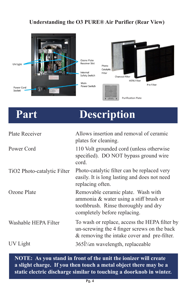### **Understanding the O3 PURE® Air Purifier (Rear View)**



### **Part Description**

| Plate Receiver              | Allows insertion and removal of ceramic<br>plates for cleaning.                                                                                      |
|-----------------------------|------------------------------------------------------------------------------------------------------------------------------------------------------|
| Power Cord                  | 110 Volt grounded cord (unless otherwise<br>specified). DO NOT bypass ground wire<br>cord.                                                           |
| TiO2 Photo-catalytic Filter | Photo-catalytic filter can be replaced very<br>easily. It is long lasting and does not need<br>replacing often.                                      |
| Ozone Plate                 | Removable ceramic plate. Wash with<br>ammonia & water using a stiff brush or<br>toothbrush. Rinse thoroughly and dry<br>completely before replacing. |
| Washable HEPA Filter        | To wash or replace, access the HEPA filter by<br>un-screwing the 4 finger screws on the back<br>& removing the intake cover and pre-filter.          |
| UV Light                    | $365\hat{1}\frac{1}{4}$ m wavelength, replaceable                                                                                                    |

**NOTE: As you stand in front of the unit the ionizer will create a slight charge. If you then touch a metal object there may be a static electric discharge similar to touching a doorknob in winter.**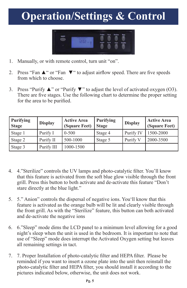### **Operation/Settings & Control**



- 1. Manually, or with remote control, turn unit "on".
- 2. Press "Fan ▲" or "Fan ▼" to adjust airflow speed. There are five speeds from which to choose.
- 3. Press "Purify ▲" or "Purify ▼" to adjust the level of activated oxygen (O3). There are five stages. Use the following chart to determine the proper setting for the area to be purified.

| <b>Purifying</b><br><b>Stage</b> | <b>Display</b> | <b>Active Area</b><br>(Square Feet) | <b>Purifying</b><br><b>Stage</b> | <b>Display</b> | <b>Active Area</b><br>(Square Feet) |
|----------------------------------|----------------|-------------------------------------|----------------------------------|----------------|-------------------------------------|
| Stage 1                          | Purify I       | $0 - 500$                           | Stage 4                          | Purify IV      | 1500-2000                           |
| Stage 2                          | Purify II      | 500-1000                            | Stage 5                          | Purify V       | 2000-3500                           |
| Stage 3                          | Purify III     | 1000-1500                           |                                  |                |                                     |

- 4. 4."Sterilize" controls the UV lamps and photo-catalytic filter. You'll know that this feature is activated from the soft blue glow visible through the front grill. Press this button to both activate and de-activate this feature "Don't stare directly at the blue light."
- 5. 5." Anion" controls the dispersal of negative ions. You'll know that this feature is activated as the orange bulb will be lit and clearly visible through the front grill. As with the "Sterilize" feature, this button can both activated and de-activate the negative ions
- 6. 6."Sleep" mode dims the LCD panel to a minimum level allowing for a good night's sleep when the unit is used in the bedroom. It is important to note that use of "Sleep" mode does interrupt the Activated Oxygen setting but leaves all remaining settings in tact.
- 7. 7. Proper Installation of photo-catalytic filter and HEPA filter. Please be reminded if you want to insert a ozone plate into the unit then reinstall the photo-catalytic filter and HEPA filter, you should install it according to the pictures indicated below, otherwise, the unit does not work.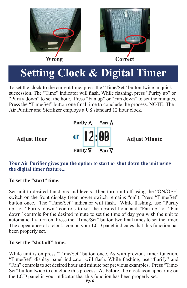



### **Setting Clock & Digital Timer**

To set the clock to the current time, press the "Time/Set" button twice in quick succession. The "Time" indicator will flash. While flashing, press "Purify up" or "Purify down" to set the hour. Press "Fan up" or "Fan down" to set the minutes. Press the "Time/Set" button one final time to conclude the process. NOTE: The Air Purifier and Sterilizer employs a US standard 12 hour clock.



#### **Your Air Purifier gives you the option to start or shut down the unit using the digital timer feature...**

#### **To set the "start" time:**

Set unit to desired functions and levels. Then turn unit off using the "ON/OFF" switch on the front display (rear power switch remains "on"). Press "Time/Set" button once. The "Time/Set" indicator will flash. While flashing, use "Purify up" or "Purify down" controls to set the desired hour and "Fan up" or "Fan down" controls for the desired minute to set the time of day you wish the unit to automatically turn on. Press the "Time/Set" button two final times to set the timer. The appearance of a clock icon on your LCD panel indicates that this function has been properly set.

#### **To set the "shut off" time:**

While unit is on press "Time/Set" button once. As with previous timer function, "Time/Set" display panel indicator will flash. While flashing, use "Purify" and "Fan" controls to set desired hour and minute per previous examples. Press "Time/ Set" button twice to conclude this process. As before, the clock icon appearing on the LCD panel is your indicator that this function has been properly set.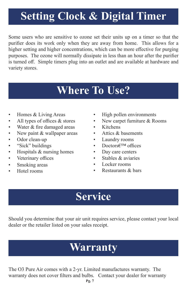### **Setting Clock & Digital Timer**

Some users who are sensitive to ozone set their units up on a timer so that the purifier does its work only when they are away from home. This allows for a higher setting and higher concentrations, which can be more effective for purging purposes. The ozone will normally dissipate in less than an hour after the purifier is turned off. Simple timers plug into an outlet and are available at hardware and variety stores.

### **Where To Use?**

- Homes & Living Areas
- All types of offices & stores
- Water & fire damaged areas
- New paint & wallpaper areas
- Odor clean-up
- "Sick" buildings
- Hospitals & nursing homes
- Veterinary offices
- Smoking areas
- Hotel rooms
- High pollen environments
- New carpet furniture & Rooms
- Kitchens
- Attics & basements
- Laundry rooms
- Doctors€<sup>TM</sup> offices
- Day care centers
- Stables & aviaries
- Locker rooms
- Restaurants & bars

### **Service**

Should you determine that your air unit requires service, please contact your local dealer or the retailer listed on your sales receipt.

### **Warranty**

The O3 Pure Air comes with a 2-yr. Limited manufactures warranty. The warranty does not cover filters and bulbs. Contact your dealer for warranty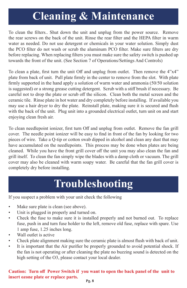### **Cleaning & Maintenance**

To clean the filters.. Shut down the unit and unplug from the power source. Remove the rear screws on the back of the unit. Rinse the rear filter and the HEPA filter in warm water as needed. Do not use detergent or chemicals in your water solution. Simply dust the PCO filter do not wash or scrub the aluminum PCO filter. Make sure filters are dry before replacing. When replacing filters you must make sure the safety switch is pushed up towards the front of the unit. (See Section 7 of Operations/Settings And Controls)

To clean a plate, first turn the unit Off and unplug from outlet. Then remove the 4"x4" plate from back of unit. Pull plate firmly in the center to remove from the slot. With plate firmly supported in the hand apply a solution of warm water and ammonia (50/50 solution is suggested) or a strong grease cutting detergent. Scrub with a stiff brush if necessary. Be careful not to drop the plate or scrub off the silicon. Clean both the metal screen and the ceramic tile. Rinse plate in hot water and dry completely before installing. If available you may use a hair dryer to dry the plate. Reinstall plate, making sure it is secured and flush with the back of the unit. Plug unit into a grounded electrical outlet, turn unit on and start enjoying clean fresh air.

To clean needlepoint ionizer, first turn Off and unplug from outlet. Remove the fan grill cover. The needle point ionizer will be easy to find in front of the fan by looking for two pieces of wire. Take a Q-tip or cotton swab dipped in alcohol and clean any dust that may have accumulated on the needlepoints. This process may be done when plates are being cleaned. While you have the front grill cover off the unit you may also clean the fan and grill itself. To clean the fan simply wipe the blades with a damp cloth or vacuum. The grill cover may also be cleaned with warm soapy water. Be careful that the fan grill cover is completely dry before installing.

### **Troubleshooting**

If you suspect a problem with your unit check the following

- Make sure plate is clean (see above).
- Unit is plugged in properly and turned on.
- Check the fuse to make sure it is installed properly and not burned out. To replace fuse, push in and turn fuse holder to the left, remove old fuse, replace with spare. Use 1 amp fuse, 1.25 inches long.
- Wall outlet is active
- Check plate alignment making sure the ceramic plate is almost flush with back of unit.
- It is important that the Air purifier be properly grounded to avoid potential shock. If the fan is not operating or after cleaning the plate no buzzing sound is detected on the high setting of the O3, please contact your local dealer.

#### **Caution: Turn off Power Switch if you want to open the back panel of the unit to insert ozone plate or replace parts.**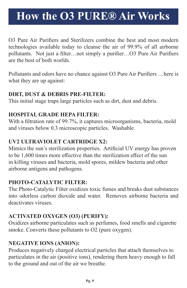### **How the O3 PURE® Air Works**

O3 Pure Air Purifiers and Sterilizers combine the best and most modern technologies available today to cleanse the air of 99.9% of all airborne pollutants. Not just a filter…not simply a purifier…O3 Pure Air Purifiers are the best of both worlds.

Pollutants and odors have no chance against O3 Pure Air Purifiers …here is what they are up against:

#### **DIRT, DUST & DEBRIS PRE-FILTER:**

This initial stage traps large particles such as dirt, dust and debris.

#### **HOSPITAL GRADE HEPA FILTER:**

With a filtration rate of 99.7%, it captures microorganisms, bacteria, mold and viruses below 0.3 microscopic particles. Washable.

### **UV2 ULTRAVIOLET CARTRIDGE X2:**

Mimics the sun's sterilization properties. Artificial UV energy has proven to be 1,600 times more effective than the sterilization effect of the sun in killing viruses and bacteria, mold spores, mildew bacteria and other airborne antigens and pathogens.

#### **PHOTO-CATALYTIC FILTER:**

The Photo-Catalytic Filter oxidizes toxic fumes and breaks dust substances into odorless carbon dioxide and water. Removes airborne bacteria and deactivates viruses.

### **ACTIVATED OXYGEN (O3) (PURIFY):**

Oxidizes airborne particulates such as perfumes, food smells and cigarette smoke. Converts these pollutants to O2 (pure oxygen).

### **NEGATIVE IONS (ANION):**

Produces negatively charged electrical particles that attach themselves to particulates in the air (positive ions), rendering them heavy enough to fall to the ground and out of the air we breathe.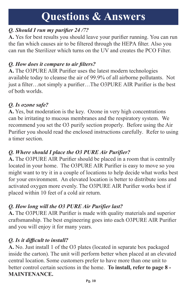### **Questions & Answers**

### *Q. Should I run my purifier 24 /7?*

**A.** Yes for best results you should leave your purifier running. You can run the fan which causes air to be filtered through the HEPA filter. Also you can run the Sterilizer which turns on the UV and creates the PCO Filter.

### *Q. How does it compare to air filters?*

**A.** The O3PURE AIR Purifier uses the latest modern technologies available today to cleanse the air of 99.9% of all airborne pollutants. Not just a filter…not simply a purifier…The O3PURE AIR Purifier is the best of both worlds.

### *Q. Is ozone safe?*

**A.** Yes, but moderation is the key. Ozone in very high concentrations can be irritating to mucous membranes and the respiratory system. We recommend you set the O3 purify section properly. Before using the Air Purifier you should read the enclosed instructions carefully. Refer to using a timer section.

### *Q. Where should I place the O3 PURE Air Purifier?*

**A.** The O3PURE AIR Purifier should be placed in a room that is centrally located in your home. The O3PURE AIR Purifier is easy to move so you might want to try it in a couple of locations to help decide what works best for your environment. An elevated location is better to distribute ions and activated oxygen more evenly. The O3PURE AIR Purifier works best if placed within 10 feet of a cold air return.

### *Q. How long will the O3 PURE Air Purifier last?*

**A.** The O3PURE AIR Purifier is made with quality materials and superior craftsmanship. The best engineering goes into each O3PURE AIR Purifier and you will enjoy it for many years.

### *Q. Is it difficult to install?*

**A.** No. Just install 1 of the O3 plates (located in separate box packaged inside the carton). The unit will perform better when placed at an elevated central location. Some customers prefer to have more than one unit to better control certain sections in the home. **To install, refer to page 8 - MAINTENANCE.**